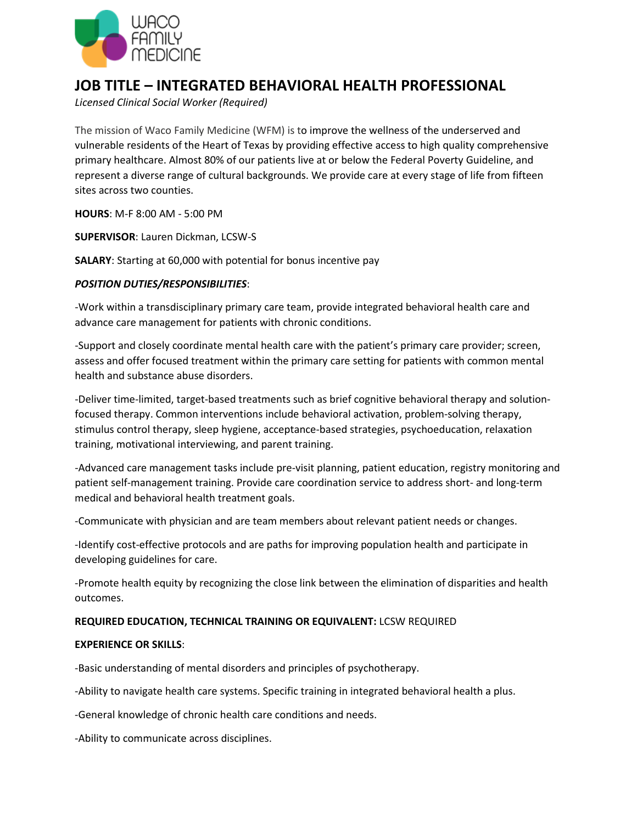

## **JOB TITLE – INTEGRATED BEHAVIORAL HEALTH PROFESSIONAL**

*Licensed Clinical Social Worker (Required)* 

The mission of Waco Family Medicine (WFM) is to improve the wellness of the underserved and vulnerable residents of the Heart of Texas by providing effective access to high quality comprehensive primary healthcare. Almost 80% of our patients live at or below the Federal Poverty Guideline, and represent a diverse range of cultural backgrounds. We provide care at every stage of life from fifteen sites across two counties.

**HOURS**: M-F 8:00 AM - 5:00 PM

**SUPERVISOR**: Lauren Dickman, LCSW-S

**SALARY**: Starting at 60,000 with potential for bonus incentive pay

## *POSITION DUTIES/RESPONSIBILITIES*:

-Work within a transdisciplinary primary care team, provide integrated behavioral health care and advance care management for patients with chronic conditions.

-Support and closely coordinate mental health care with the patient's primary care provider; screen, assess and offer focused treatment within the primary care setting for patients with common mental health and substance abuse disorders.

-Deliver time-limited, target-based treatments such as brief cognitive behavioral therapy and solutionfocused therapy. Common interventions include behavioral activation, problem-solving therapy, stimulus control therapy, sleep hygiene, acceptance-based strategies, psychoeducation, relaxation training, motivational interviewing, and parent training.

-Advanced care management tasks include pre-visit planning, patient education, registry monitoring and patient self-management training. Provide care coordination service to address short- and long-term medical and behavioral health treatment goals.

-Communicate with physician and are team members about relevant patient needs or changes.

-Identify cost-effective protocols and are paths for improving population health and participate in developing guidelines for care.

-Promote health equity by recognizing the close link between the elimination of disparities and health outcomes.

## **REQUIRED EDUCATION, TECHNICAL TRAINING OR EQUIVALENT:** LCSW REQUIRED

## **EXPERIENCE OR SKILLS**:

-Basic understanding of mental disorders and principles of psychotherapy.

-Ability to navigate health care systems. Specific training in integrated behavioral health a plus.

-General knowledge of chronic health care conditions and needs.

-Ability to communicate across disciplines.